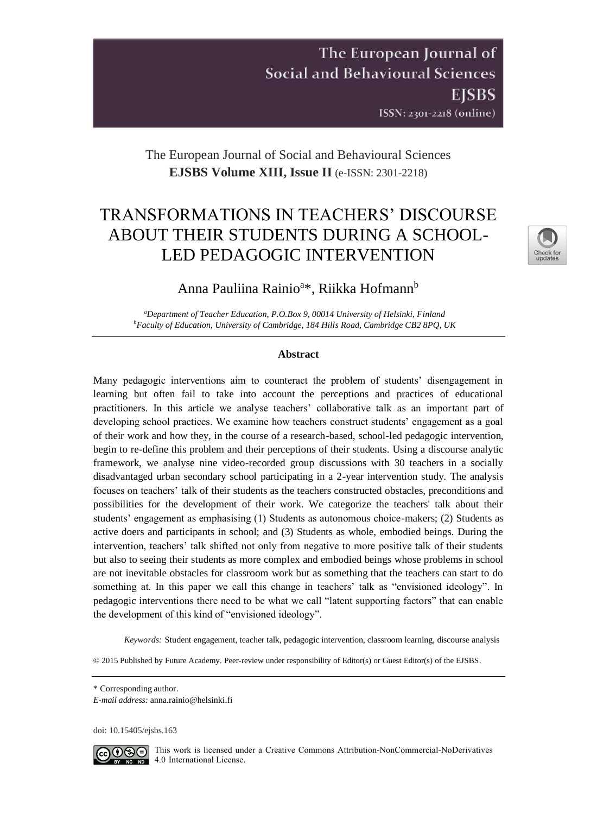# The European Journal of **Social and Behavioural Sciences EISBS** ISSN: 2301-2218 (online)

# The European Journal of Social and Behavioural Sciences **EJSBS Volume XIII, Issue II** (e-ISSN: 2301-2218)

# TRANSFORMATIONS IN TEACHERS' DISCOURSE ABOUT THEIR STUDENTS DURING A SCHOOL-LED PEDAGOGIC INTERVENTION



# Anna Pauliina Rainio<sup>a</sup>\*, Riikka Hofmann<sup>b</sup>

*<sup>a</sup>Department of Teacher Education, P.O.Box 9, 00014 University of Helsinki, Finland <sup>b</sup>Faculty of Education, University of Cambridge, 184 Hills Road, Cambridge CB2 8PQ, UK*

### **Abstract**

Many pedagogic interventions aim to counteract the problem of students' disengagement in learning but often fail to take into account the perceptions and practices of educational practitioners. In this article we analyse teachers' collaborative talk as an important part of developing school practices. We examine how teachers construct students' engagement as a goal of their work and how they, in the course of a research-based, school-led pedagogic intervention, begin to re-define this problem and their perceptions of their students. Using a discourse analytic framework, we analyse nine video-recorded group discussions with 30 teachers in a socially disadvantaged urban secondary school participating in a 2-year intervention study. The analysis focuses on teachers' talk of their students as the teachers constructed obstacles, preconditions and possibilities for the development of their work. We categorize the teachers' talk about their students' engagement as emphasising (1) Students as autonomous choice-makers; (2) Students as active doers and participants in school; and (3) Students as whole, embodied beings. During the intervention, teachers' talk shifted not only from negative to more positive talk of their students but also to seeing their students as more complex and embodied beings whose problems in school are not inevitable obstacles for classroom work but as something that the teachers can start to do something at. In this paper we call this change in teachers' talk as "envisioned ideology". In pedagogic interventions there need to be what we call "latent supporting factors" that can enable the development of this kind of "envisioned ideology".

*Keywords:* Student engagement, teacher talk, pedagogic intervention, classroom learning, discourse analysis

© 2015 Published by Future Academy. Peer-review under responsibility of Editor(s) or Guest Editor(s) of the EJSBS.

doi: [10.15405/ejsbs.163](https://doi.org/10.15405/ejsbs.163)



GO SO This work is licensed under a Creative Commons Attribution-NonCommercial-NoDerivatives 4.0 International License.

<sup>\*</sup> Corresponding author.

*E-mail address:* anna.rainio@helsinki.fi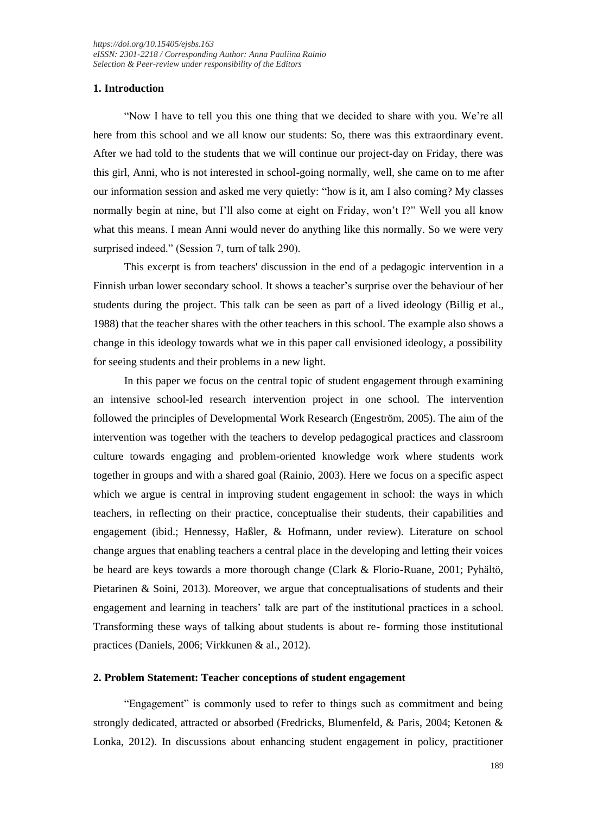# **1. Introduction**

"Now I have to tell you this one thing that we decided to share with you. We're all here from this school and we all know our students: So, there was this extraordinary event. After we had told to the students that we will continue our project-day on Friday, there was this girl, Anni, who is not interested in school-going normally, well, she came on to me after our information session and asked me very quietly: "how is it, am I also coming? My classes normally begin at nine, but I'll also come at eight on Friday, won't I?" Well you all know what this means. I mean Anni would never do anything like this normally. So we were very surprised indeed." (Session 7, turn of talk 290).

This excerpt is from teachers' discussion in the end of a pedagogic intervention in a Finnish urban lower secondary school. It shows a teacher's surprise over the behaviour of her students during the project. This talk can be seen as part of a lived ideology (Billig et al., 1988) that the teacher shares with the other teachers in this school. The example also shows a change in this ideology towards what we in this paper call envisioned ideology, a possibility for seeing students and their problems in a new light.

In this paper we focus on the central topic of student engagement through examining an intensive school-led research intervention project in one school. The intervention followed the principles of Developmental Work Research (Engeström, 2005). The aim of the intervention was together with the teachers to develop pedagogical practices and classroom culture towards engaging and problem-oriented knowledge work where students work together in groups and with a shared goal (Rainio, 2003). Here we focus on a specific aspect which we argue is central in improving student engagement in school: the ways in which teachers, in reflecting on their practice, conceptualise their students, their capabilities and engagement (ibid.; Hennessy, Haßler, & Hofmann, under review). Literature on school change argues that enabling teachers a central place in the developing and letting their voices be heard are keys towards a more thorough change (Clark & Florio-Ruane, 2001; Pyhältö, Pietarinen & Soini, 2013). Moreover, we argue that conceptualisations of students and their engagement and learning in teachers' talk are part of the institutional practices in a school. Transforming these ways of talking about students is about re- forming those institutional practices (Daniels, 2006; Virkkunen & al., 2012).

#### **2. Problem Statement: Teacher conceptions of student engagement**

"Engagement" is commonly used to refer to things such as commitment and being strongly dedicated, attracted or absorbed (Fredricks, Blumenfeld, & Paris, 2004; Ketonen & Lonka, 2012). In discussions about enhancing student engagement in policy, practitioner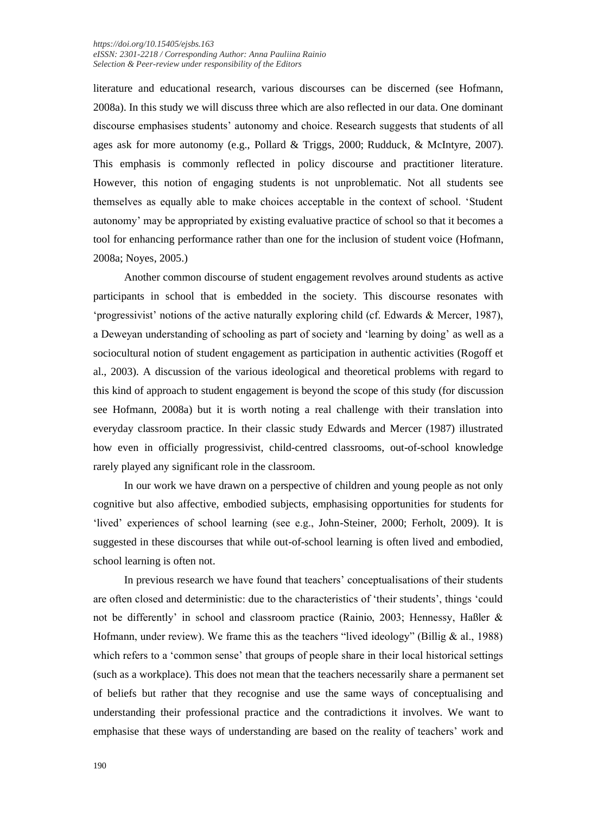literature and educational research, various discourses can be discerned (see Hofmann, 2008a). In this study we will discuss three which are also reflected in our data. One dominant discourse emphasises students' autonomy and choice. Research suggests that students of all ages ask for more autonomy (e.g., Pollard & Triggs, 2000; Rudduck, & McIntyre, 2007). This emphasis is commonly reflected in policy discourse and practitioner literature. However, this notion of engaging students is not unproblematic. Not all students see themselves as equally able to make choices acceptable in the context of school. 'Student autonomy' may be appropriated by existing evaluative practice of school so that it becomes a tool for enhancing performance rather than one for the inclusion of student voice (Hofmann, 2008a; Noyes, 2005.)

Another common discourse of student engagement revolves around students as active participants in school that is embedded in the society. This discourse resonates with 'progressivist' notions of the active naturally exploring child (cf. Edwards & Mercer, 1987), a Deweyan understanding of schooling as part of society and 'learning by doing' as well as a sociocultural notion of student engagement as participation in authentic activities (Rogoff et al., 2003). A discussion of the various ideological and theoretical problems with regard to this kind of approach to student engagement is beyond the scope of this study (for discussion see Hofmann, 2008a) but it is worth noting a real challenge with their translation into everyday classroom practice. In their classic study Edwards and Mercer (1987) illustrated how even in officially progressivist, child-centred classrooms, out-of-school knowledge rarely played any significant role in the classroom.

In our work we have drawn on a perspective of children and young people as not only cognitive but also affective, embodied subjects, emphasising opportunities for students for 'lived' experiences of school learning (see e.g., John-Steiner, 2000; Ferholt, 2009). It is suggested in these discourses that while out-of-school learning is often lived and embodied, school learning is often not.

In previous research we have found that teachers' conceptualisations of their students are often closed and deterministic: due to the characteristics of 'their students', things 'could not be differently' in school and classroom practice (Rainio, 2003; Hennessy, Haßler & Hofmann, under review). We frame this as the teachers "lived ideology" (Billig & al., 1988) which refers to a 'common sense' that groups of people share in their local historical settings (such as a workplace). This does not mean that the teachers necessarily share a permanent set of beliefs but rather that they recognise and use the same ways of conceptualising and understanding their professional practice and the contradictions it involves. We want to emphasise that these ways of understanding are based on the reality of teachers' work and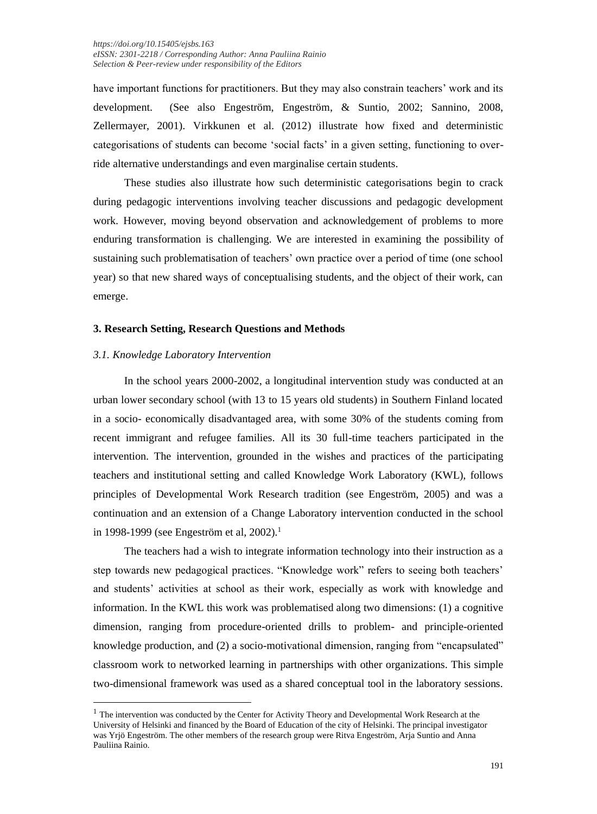have important functions for practitioners. But they may also constrain teachers' work and its development. (See also Engeström, Engeström, & Suntio, 2002; Sannino, 2008, Zellermayer, 2001). Virkkunen et al. (2012) illustrate how fixed and deterministic categorisations of students can become 'social facts' in a given setting, functioning to override alternative understandings and even marginalise certain students.

These studies also illustrate how such deterministic categorisations begin to crack during pedagogic interventions involving teacher discussions and pedagogic development work. However, moving beyond observation and acknowledgement of problems to more enduring transformation is challenging. We are interested in examining the possibility of sustaining such problematisation of teachers' own practice over a period of time (one school year) so that new shared ways of conceptualising students, and the object of their work, can emerge.

### **3. Research Setting, Research Questions and Methods**

### *3.1. Knowledge Laboratory Intervention*

In the school years 2000-2002, a longitudinal intervention study was conducted at an urban lower secondary school (with 13 to 15 years old students) in Southern Finland located in a socio- economically disadvantaged area, with some 30% of the students coming from recent immigrant and refugee families. All its 30 full-time teachers participated in the intervention. The intervention, grounded in the wishes and practices of the participating teachers and institutional setting and called Knowledge Work Laboratory (KWL), follows principles of Developmental Work Research tradition (see Engeström, 2005) and was a continuation and an extension of a Change Laboratory intervention conducted in the school in 1998-1999 (see Engeström et al, 2002).<sup>1</sup>

The teachers had a wish to integrate information technology into their instruction as a step towards new pedagogical practices. "Knowledge work" refers to seeing both teachers' and students' activities at school as their work, especially as work with knowledge and information. In the KWL this work was problematised along two dimensions: (1) a cognitive dimension, ranging from procedure-oriented drills to problem- and principle-oriented knowledge production, and (2) a socio-motivational dimension, ranging from "encapsulated" classroom work to networked learning in partnerships with other organizations. This simple two-dimensional framework was used as a shared conceptual tool in the laboratory sessions.

 $<sup>1</sup>$  The intervention was conducted by the Center for Activity Theory and Developmental Work Research at the</sup> University of Helsinki and financed by the Board of Education of the city of Helsinki. The principal investigator was Yrjö Engeström. The other members of the research group were Ritva Engeström, Arja Suntio and Anna Pauliina Rainio.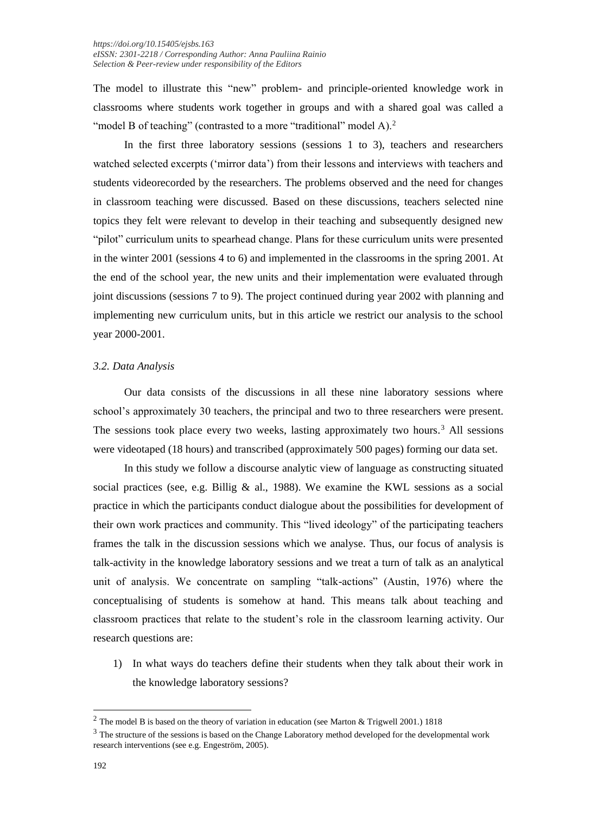The model to illustrate this "new" problem- and principle-oriented knowledge work in classrooms where students work together in groups and with a shared goal was called a "model B of teaching" (contrasted to a more "traditional" model A). $^2$ 

In the first three laboratory sessions (sessions 1 to 3), teachers and researchers watched selected excerpts ('mirror data') from their lessons and interviews with teachers and students videorecorded by the researchers. The problems observed and the need for changes in classroom teaching were discussed. Based on these discussions, teachers selected nine topics they felt were relevant to develop in their teaching and subsequently designed new "pilot" curriculum units to spearhead change. Plans for these curriculum units were presented in the winter 2001 (sessions 4 to 6) and implemented in the classrooms in the spring 2001. At the end of the school year, the new units and their implementation were evaluated through joint discussions (sessions 7 to 9). The project continued during year 2002 with planning and implementing new curriculum units, but in this article we restrict our analysis to the school year 2000-2001.

# *3.2. Data Analysis*

Our data consists of the discussions in all these nine laboratory sessions where school's approximately 30 teachers, the principal and two to three researchers were present. The sessions took place every two weeks, lasting approximately two hours.<sup>3</sup> All sessions were videotaped (18 hours) and transcribed (approximately 500 pages) forming our data set.

In this study we follow a discourse analytic view of language as constructing situated social practices (see, e.g. Billig  $\&$  al., 1988). We examine the KWL sessions as a social practice in which the participants conduct dialogue about the possibilities for development of their own work practices and community. This "lived ideology" of the participating teachers frames the talk in the discussion sessions which we analyse. Thus, our focus of analysis is talk-activity in the knowledge laboratory sessions and we treat a turn of talk as an analytical unit of analysis. We concentrate on sampling "talk-actions" (Austin, 1976) where the conceptualising of students is somehow at hand. This means talk about teaching and classroom practices that relate to the student's role in the classroom learning activity. Our research questions are:

1) In what ways do teachers define their students when they talk about their work in the knowledge laboratory sessions?

 $2$  The model B is based on the theory of variation in education (see Marton & Trigwell 2001.) 1818

<sup>&</sup>lt;sup>3</sup> The structure of the sessions is based on the Change Laboratory method developed for the developmental work research interventions (see e.g. Engeström, 2005).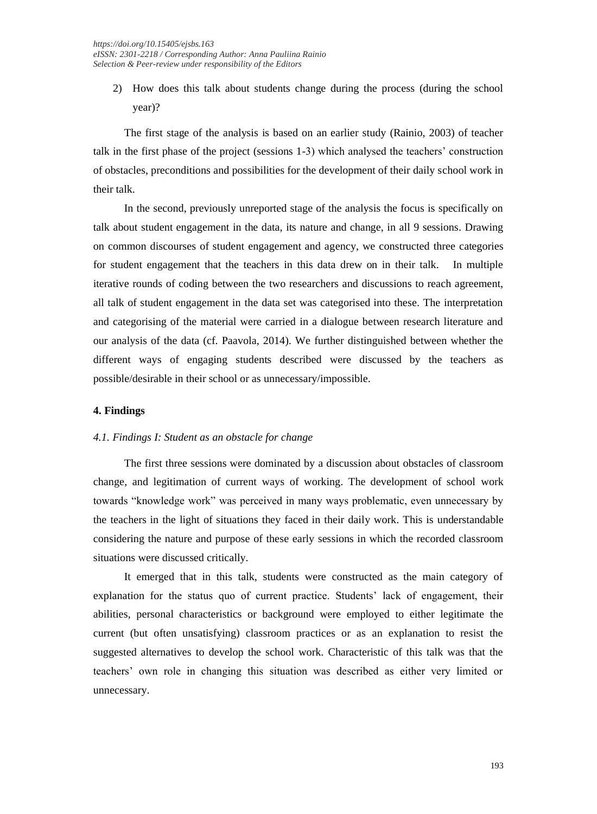2) How does this talk about students change during the process (during the school year)?

The first stage of the analysis is based on an earlier study (Rainio, 2003) of teacher talk in the first phase of the project (sessions 1-3) which analysed the teachers' construction of obstacles, preconditions and possibilities for the development of their daily school work in their talk.

In the second, previously unreported stage of the analysis the focus is specifically on talk about student engagement in the data, its nature and change, in all 9 sessions. Drawing on common discourses of student engagement and agency, we constructed three categories for student engagement that the teachers in this data drew on in their talk. In multiple iterative rounds of coding between the two researchers and discussions to reach agreement, all talk of student engagement in the data set was categorised into these. The interpretation and categorising of the material were carried in a dialogue between research literature and our analysis of the data (cf. Paavola, 2014). We further distinguished between whether the different ways of engaging students described were discussed by the teachers as possible/desirable in their school or as unnecessary/impossible.

# **4. Findings**

# *4.1. Findings I: Student as an obstacle for change*

The first three sessions were dominated by a discussion about obstacles of classroom change, and legitimation of current ways of working. The development of school work towards "knowledge work" was perceived in many ways problematic, even unnecessary by the teachers in the light of situations they faced in their daily work. This is understandable considering the nature and purpose of these early sessions in which the recorded classroom situations were discussed critically.

It emerged that in this talk, students were constructed as the main category of explanation for the status quo of current practice. Students' lack of engagement, their abilities, personal characteristics or background were employed to either legitimate the current (but often unsatisfying) classroom practices or as an explanation to resist the suggested alternatives to develop the school work. Characteristic of this talk was that the teachers' own role in changing this situation was described as either very limited or unnecessary.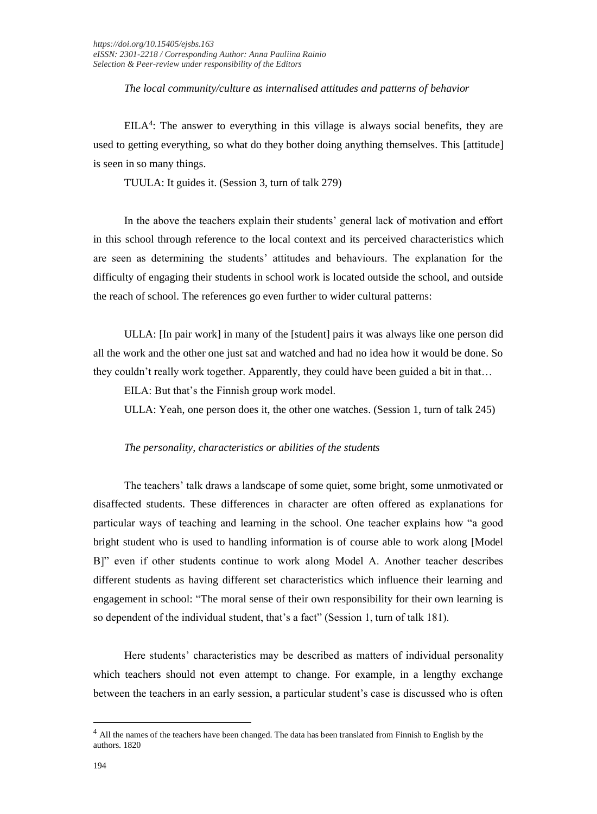*The local community/culture as internalised attitudes and patterns of behavior*

 $EILA<sup>4</sup>$ : The answer to everything in this village is always social benefits, they are used to getting everything, so what do they bother doing anything themselves. This [attitude] is seen in so many things.

TUULA: It guides it. (Session 3, turn of talk 279)

In the above the teachers explain their students' general lack of motivation and effort in this school through reference to the local context and its perceived characteristics which are seen as determining the students' attitudes and behaviours. The explanation for the difficulty of engaging their students in school work is located outside the school, and outside the reach of school. The references go even further to wider cultural patterns:

ULLA: [In pair work] in many of the [student] pairs it was always like one person did all the work and the other one just sat and watched and had no idea how it would be done. So they couldn't really work together. Apparently, they could have been guided a bit in that…

EILA: But that's the Finnish group work model.

ULLA: Yeah, one person does it, the other one watches. (Session 1, turn of talk 245)

#### *The personality, characteristics or abilities of the students*

The teachers' talk draws a landscape of some quiet, some bright, some unmotivated or disaffected students. These differences in character are often offered as explanations for particular ways of teaching and learning in the school. One teacher explains how "a good bright student who is used to handling information is of course able to work along [Model B]" even if other students continue to work along Model A. Another teacher describes different students as having different set characteristics which influence their learning and engagement in school: "The moral sense of their own responsibility for their own learning is so dependent of the individual student, that's a fact" (Session 1, turn of talk 181).

Here students' characteristics may be described as matters of individual personality which teachers should not even attempt to change. For example, in a lengthy exchange between the teachers in an early session, a particular student's case is discussed who is often

<sup>&</sup>lt;sup>4</sup> All the names of the teachers have been changed. The data has been translated from Finnish to English by the authors. 1820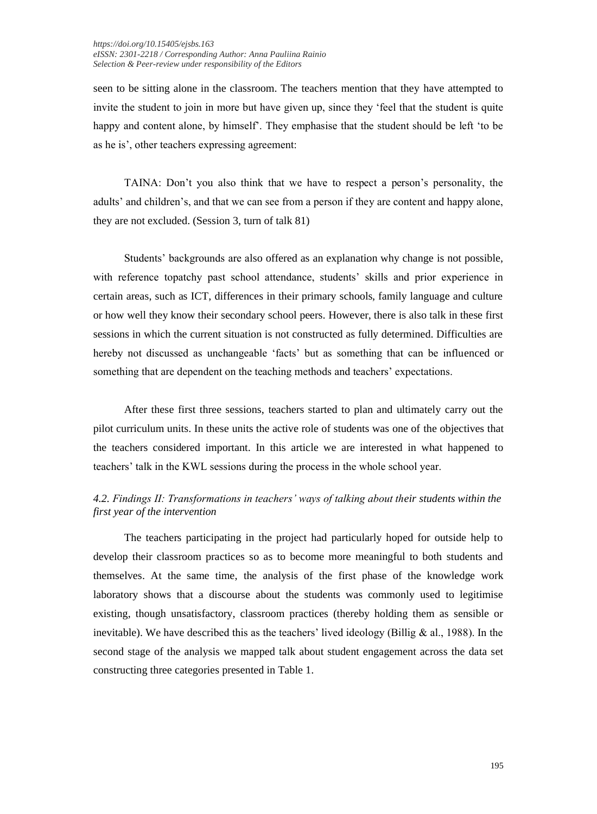seen to be sitting alone in the classroom. The teachers mention that they have attempted to invite the student to join in more but have given up, since they 'feel that the student is quite happy and content alone, by himself'. They emphasise that the student should be left 'to be as he is', other teachers expressing agreement:

TAINA: Don't you also think that we have to respect a person's personality, the adults' and children's, and that we can see from a person if they are content and happy alone, they are not excluded. (Session 3, turn of talk 81)

Students' backgrounds are also offered as an explanation why change is not possible, with reference topatchy past school attendance, students' skills and prior experience in certain areas, such as ICT, differences in their primary schools, family language and culture or how well they know their secondary school peers. However, there is also talk in these first sessions in which the current situation is not constructed as fully determined. Difficulties are hereby not discussed as unchangeable 'facts' but as something that can be influenced or something that are dependent on the teaching methods and teachers' expectations.

After these first three sessions, teachers started to plan and ultimately carry out the pilot curriculum units. In these units the active role of students was one of the objectives that the teachers considered important. In this article we are interested in what happened to teachers' talk in the KWL sessions during the process in the whole school year.

# *4.2. Findings II: Transformations in teachers' ways of talking about their students within the first year of the intervention*

The teachers participating in the project had particularly hoped for outside help to develop their classroom practices so as to become more meaningful to both students and themselves. At the same time, the analysis of the first phase of the knowledge work laboratory shows that a discourse about the students was commonly used to legitimise existing, though unsatisfactory, classroom practices (thereby holding them as sensible or inevitable). We have described this as the teachers' lived ideology (Billig & al., 1988). In the second stage of the analysis we mapped talk about student engagement across the data set constructing three categories presented in Table 1.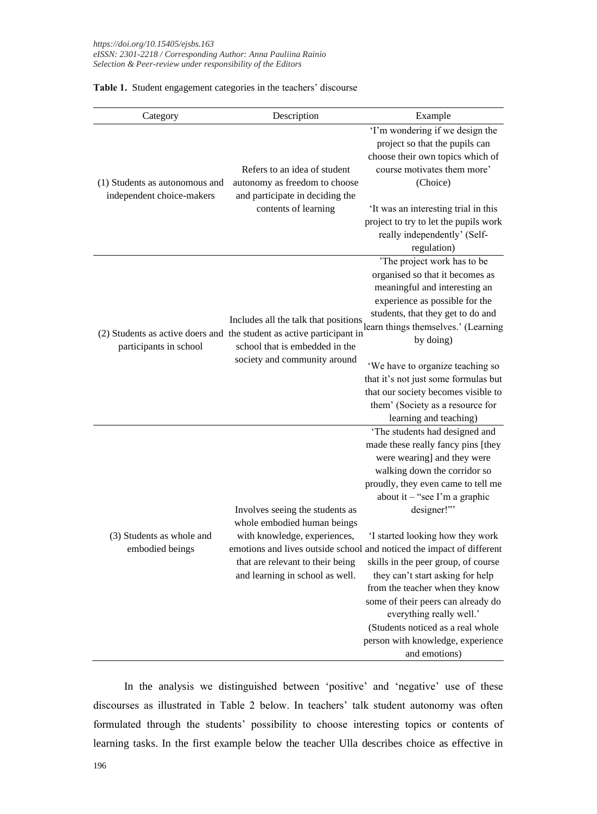| Table 1. Student engagement categories in the teachers' discourse |  |  |
|-------------------------------------------------------------------|--|--|
|-------------------------------------------------------------------|--|--|

| Category                                                    | Description                                                                                                                                                           | Example                                                                                                                                                                                                                                                                                                                                                                                                                                                                                                                                                                                                          |
|-------------------------------------------------------------|-----------------------------------------------------------------------------------------------------------------------------------------------------------------------|------------------------------------------------------------------------------------------------------------------------------------------------------------------------------------------------------------------------------------------------------------------------------------------------------------------------------------------------------------------------------------------------------------------------------------------------------------------------------------------------------------------------------------------------------------------------------------------------------------------|
| (1) Students as autonomous and<br>independent choice-makers | Refers to an idea of student<br>autonomy as freedom to choose<br>and participate in deciding the<br>contents of learning                                              | 'I'm wondering if we design the<br>project so that the pupils can<br>choose their own topics which of<br>course motivates them more'<br>(Choice)<br>'It was an interesting trial in this<br>project to try to let the pupils work<br>really independently' (Self-                                                                                                                                                                                                                                                                                                                                                |
| participants in school                                      | (2) Students as active doers and the student as active participant in<br>school that is embedded in the<br>society and community around                               | regulation)<br>'The project work has to be<br>organised so that it becomes as<br>meaningful and interesting an<br>experience as possible for the<br>students, that they get to do and<br>Includes all the talk that positions learn things themselves.' (Learning<br>by doing)<br>'We have to organize teaching so<br>that it's not just some formulas but<br>that our society becomes visible to<br>them' (Society as a resource for<br>learning and teaching)                                                                                                                                                  |
| (3) Students as whole and<br>embodied beings                | Involves seeing the students as<br>whole embodied human beings<br>with knowledge, experiences,<br>that are relevant to their being<br>and learning in school as well. | 'The students had designed and<br>made these really fancy pins [they<br>were wearing] and they were<br>walking down the corridor so<br>proudly, they even came to tell me<br>about it - "see I'm a graphic<br>designer!"<br>'I started looking how they work<br>emotions and lives outside school and noticed the impact of different<br>skills in the peer group, of course<br>they can't start asking for help<br>from the teacher when they know<br>some of their peers can already do<br>everything really well.'<br>(Students noticed as a real whole<br>person with knowledge, experience<br>and emotions) |

In the analysis we distinguished between 'positive' and 'negative' use of these discourses as illustrated in Table 2 below. In teachers' talk student autonomy was often formulated through the students' possibility to choose interesting topics or contents of learning tasks. In the first example below the teacher Ulla describes choice as effective in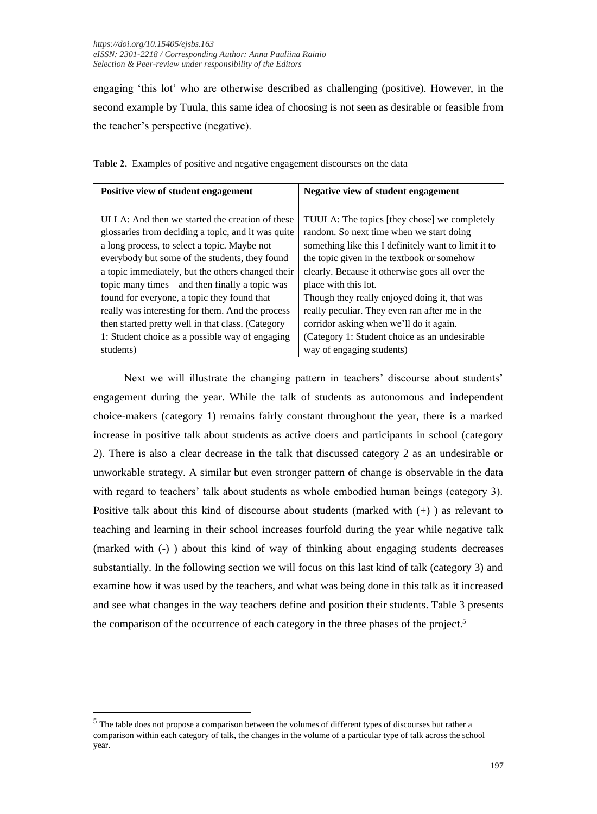engaging 'this lot' who are otherwise described as challenging (positive). However, in the second example by Tuula, this same idea of choosing is not seen as desirable or feasible from the teacher's perspective (negative).

| Positive view of student engagement                | Negative view of student engagement                  |  |
|----------------------------------------------------|------------------------------------------------------|--|
|                                                    |                                                      |  |
| ULLA: And then we started the creation of these    | TUULA: The topics [they chose] we completely         |  |
| glossaries from deciding a topic, and it was quite | random. So next time when we start doing             |  |
| a long process, to select a topic. Maybe not       | something like this I definitely want to limit it to |  |
| everybody but some of the students, they found     | the topic given in the textbook or somehow           |  |
| a topic immediately, but the others changed their  | clearly. Because it otherwise goes all over the      |  |
| topic many times – and then finally a topic was    | place with this lot.                                 |  |
| found for everyone, a topic they found that        | Though they really enjoyed doing it, that was        |  |
| really was interesting for them. And the process   | really peculiar. They even ran after me in the       |  |
| then started pretty well in that class. (Category  | corridor asking when we'll do it again.              |  |
| 1: Student choice as a possible way of engaging    | (Category 1: Student choice as an undesirable        |  |
| students)                                          | way of engaging students)                            |  |
|                                                    |                                                      |  |

**Table 2.** Examples of positive and negative engagement discourses on the data

Next we will illustrate the changing pattern in teachers' discourse about students' engagement during the year. While the talk of students as autonomous and independent choice-makers (category 1) remains fairly constant throughout the year, there is a marked increase in positive talk about students as active doers and participants in school (category 2). There is also a clear decrease in the talk that discussed category 2 as an undesirable or unworkable strategy. A similar but even stronger pattern of change is observable in the data with regard to teachers' talk about students as whole embodied human beings (category 3). Positive talk about this kind of discourse about students (marked with (+) ) as relevant to teaching and learning in their school increases fourfold during the year while negative talk (marked with (-) ) about this kind of way of thinking about engaging students decreases substantially. In the following section we will focus on this last kind of talk (category 3) and examine how it was used by the teachers, and what was being done in this talk as it increased and see what changes in the way teachers define and position their students. Table 3 presents the comparison of the occurrence of each category in the three phases of the project.<sup>5</sup>

<sup>&</sup>lt;sup>5</sup> The table does not propose a comparison between the volumes of different types of discourses but rather a comparison within each category of talk, the changes in the volume of a particular type of talk across the school year.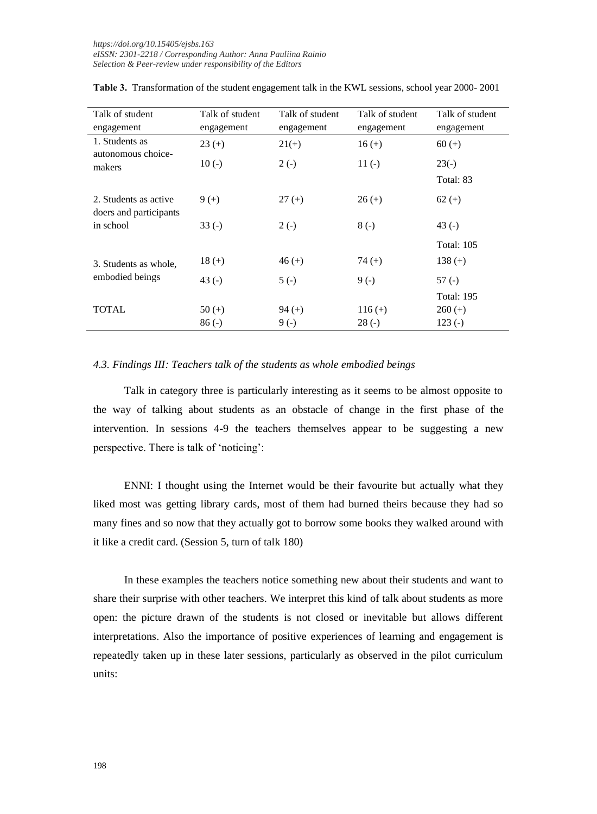| Talk of student                                 | Talk of student | Talk of student | Talk of student | Talk of student   |
|-------------------------------------------------|-----------------|-----------------|-----------------|-------------------|
| engagement                                      | engagement      | engagement      | engagement      | engagement        |
| 1. Students as<br>autonomous choice-<br>makers  | $23 (+)$        | $21(+)$         | $16 (+)$        | $60 (+)$          |
|                                                 | $10(-)$         | $2(-)$          | $11(-)$         | $23(-)$           |
|                                                 |                 |                 |                 | Total: 83         |
| 2. Students as active<br>doers and participants | $9 (+)$         | $27 (+)$        | $26 (+)$        | $62 (+)$          |
| in school                                       | $33(-)$         | $2(-)$          | $8(-)$          | 43 $(-)$          |
|                                                 |                 |                 |                 | <b>Total: 105</b> |
| 3. Students as whole,<br>embodied beings        | $18 (+)$        | $46 (+)$        | $74 (+)$        | 138 $(+)$         |
|                                                 | 43 $(-)$        | $5(-)$          | $9(-)$          | 57 (-)            |
|                                                 |                 |                 |                 | Total: 195        |
| TOTAL                                           | $50 (+)$        | $94 (+)$        | $116 (+)$       | $260 (+)$         |
|                                                 | $86(-)$         | $9(-)$          | $28(-)$         | $123(-)$          |

**Table 3.** Transformation of the student engagement talk in the KWL sessions, school year 2000- 2001

#### *4.3. Findings III: Teachers talk of the students as whole embodied beings*

Talk in category three is particularly interesting as it seems to be almost opposite to the way of talking about students as an obstacle of change in the first phase of the intervention. In sessions 4-9 the teachers themselves appear to be suggesting a new perspective. There is talk of 'noticing':

ENNI: I thought using the Internet would be their favourite but actually what they liked most was getting library cards, most of them had burned theirs because they had so many fines and so now that they actually got to borrow some books they walked around with it like a credit card. (Session 5, turn of talk 180)

In these examples the teachers notice something new about their students and want to share their surprise with other teachers. We interpret this kind of talk about students as more open: the picture drawn of the students is not closed or inevitable but allows different interpretations. Also the importance of positive experiences of learning and engagement is repeatedly taken up in these later sessions, particularly as observed in the pilot curriculum units: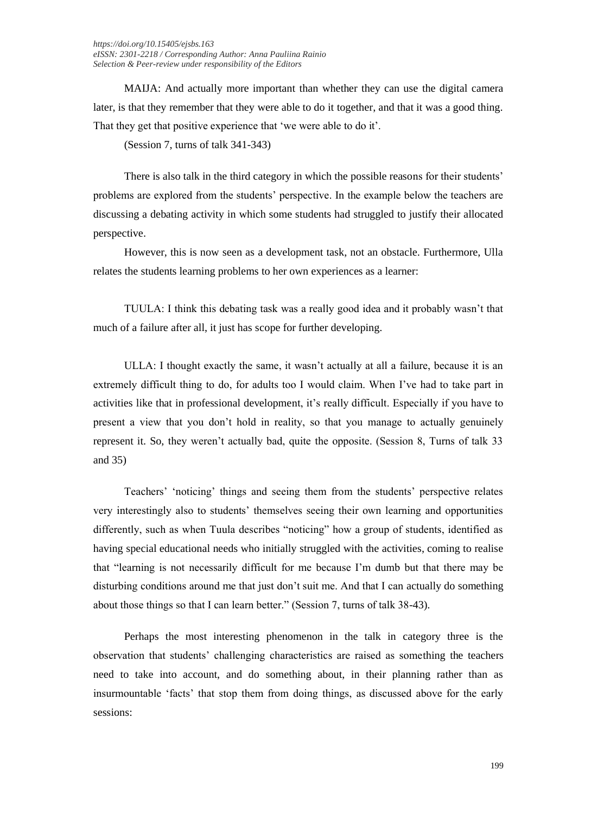MAIJA: And actually more important than whether they can use the digital camera later, is that they remember that they were able to do it together, and that it was a good thing. That they get that positive experience that 'we were able to do it'.

(Session 7, turns of talk 341-343)

There is also talk in the third category in which the possible reasons for their students' problems are explored from the students' perspective. In the example below the teachers are discussing a debating activity in which some students had struggled to justify their allocated perspective.

However, this is now seen as a development task, not an obstacle. Furthermore, Ulla relates the students learning problems to her own experiences as a learner:

TUULA: I think this debating task was a really good idea and it probably wasn't that much of a failure after all, it just has scope for further developing.

ULLA: I thought exactly the same, it wasn't actually at all a failure, because it is an extremely difficult thing to do, for adults too I would claim. When I've had to take part in activities like that in professional development, it's really difficult. Especially if you have to present a view that you don't hold in reality, so that you manage to actually genuinely represent it. So, they weren't actually bad, quite the opposite. (Session 8, Turns of talk 33 and 35)

Teachers' 'noticing' things and seeing them from the students' perspective relates very interestingly also to students' themselves seeing their own learning and opportunities differently, such as when Tuula describes "noticing" how a group of students, identified as having special educational needs who initially struggled with the activities, coming to realise that "learning is not necessarily difficult for me because I'm dumb but that there may be disturbing conditions around me that just don't suit me. And that I can actually do something about those things so that I can learn better." (Session 7, turns of talk 38-43).

Perhaps the most interesting phenomenon in the talk in category three is the observation that students' challenging characteristics are raised as something the teachers need to take into account, and do something about, in their planning rather than as insurmountable 'facts' that stop them from doing things, as discussed above for the early sessions: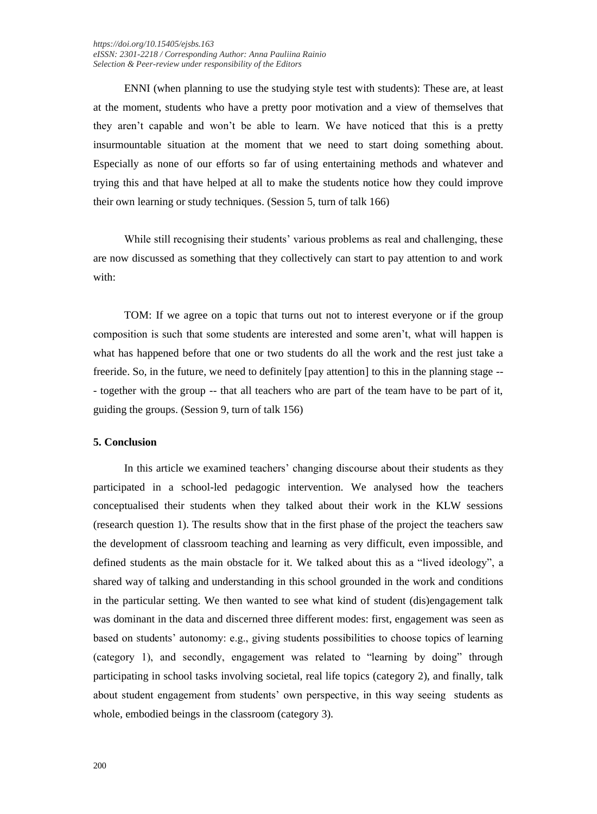ENNI (when planning to use the studying style test with students): These are, at least at the moment, students who have a pretty poor motivation and a view of themselves that they aren't capable and won't be able to learn. We have noticed that this is a pretty insurmountable situation at the moment that we need to start doing something about. Especially as none of our efforts so far of using entertaining methods and whatever and trying this and that have helped at all to make the students notice how they could improve their own learning or study techniques. (Session 5, turn of talk 166)

While still recognising their students' various problems as real and challenging, these are now discussed as something that they collectively can start to pay attention to and work with:

TOM: If we agree on a topic that turns out not to interest everyone or if the group composition is such that some students are interested and some aren't, what will happen is what has happened before that one or two students do all the work and the rest just take a freeride. So, in the future, we need to definitely [pay attention] to this in the planning stage -- - together with the group -- that all teachers who are part of the team have to be part of it, guiding the groups. (Session 9, turn of talk 156)

#### **5. Conclusion**

In this article we examined teachers' changing discourse about their students as they participated in a school-led pedagogic intervention. We analysed how the teachers conceptualised their students when they talked about their work in the KLW sessions (research question 1). The results show that in the first phase of the project the teachers saw the development of classroom teaching and learning as very difficult, even impossible, and defined students as the main obstacle for it. We talked about this as a "lived ideology", a shared way of talking and understanding in this school grounded in the work and conditions in the particular setting. We then wanted to see what kind of student (dis)engagement talk was dominant in the data and discerned three different modes: first, engagement was seen as based on students' autonomy: e.g., giving students possibilities to choose topics of learning (category 1), and secondly, engagement was related to "learning by doing" through participating in school tasks involving societal, real life topics (category 2), and finally, talk about student engagement from students' own perspective, in this way seeing students as whole, embodied beings in the classroom (category 3).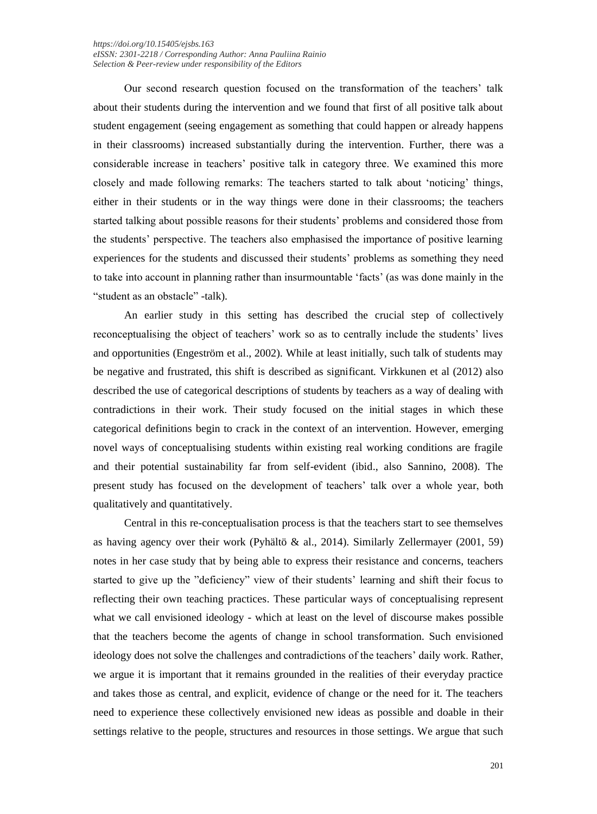Our second research question focused on the transformation of the teachers' talk about their students during the intervention and we found that first of all positive talk about student engagement (seeing engagement as something that could happen or already happens in their classrooms) increased substantially during the intervention. Further, there was a considerable increase in teachers' positive talk in category three. We examined this more closely and made following remarks: The teachers started to talk about 'noticing' things, either in their students or in the way things were done in their classrooms; the teachers started talking about possible reasons for their students' problems and considered those from the students' perspective. The teachers also emphasised the importance of positive learning experiences for the students and discussed their students' problems as something they need to take into account in planning rather than insurmountable 'facts' (as was done mainly in the "student as an obstacle" -talk).

An earlier study in this setting has described the crucial step of collectively reconceptualising the object of teachers' work so as to centrally include the students' lives and opportunities (Engeström et al., 2002). While at least initially, such talk of students may be negative and frustrated, this shift is described as significant. Virkkunen et al (2012) also described the use of categorical descriptions of students by teachers as a way of dealing with contradictions in their work. Their study focused on the initial stages in which these categorical definitions begin to crack in the context of an intervention. However, emerging novel ways of conceptualising students within existing real working conditions are fragile and their potential sustainability far from self-evident (ibid., also Sannino, 2008). The present study has focused on the development of teachers' talk over a whole year, both qualitatively and quantitatively.

Central in this re-conceptualisation process is that the teachers start to see themselves as having agency over their work (Pyhältö & al., 2014). Similarly Zellermayer  $(2001, 59)$ notes in her case study that by being able to express their resistance and concerns, teachers started to give up the "deficiency" view of their students' learning and shift their focus to reflecting their own teaching practices. These particular ways of conceptualising represent what we call envisioned ideology - which at least on the level of discourse makes possible that the teachers become the agents of change in school transformation. Such envisioned ideology does not solve the challenges and contradictions of the teachers' daily work. Rather, we argue it is important that it remains grounded in the realities of their everyday practice and takes those as central, and explicit, evidence of change or the need for it. The teachers need to experience these collectively envisioned new ideas as possible and doable in their settings relative to the people, structures and resources in those settings. We argue that such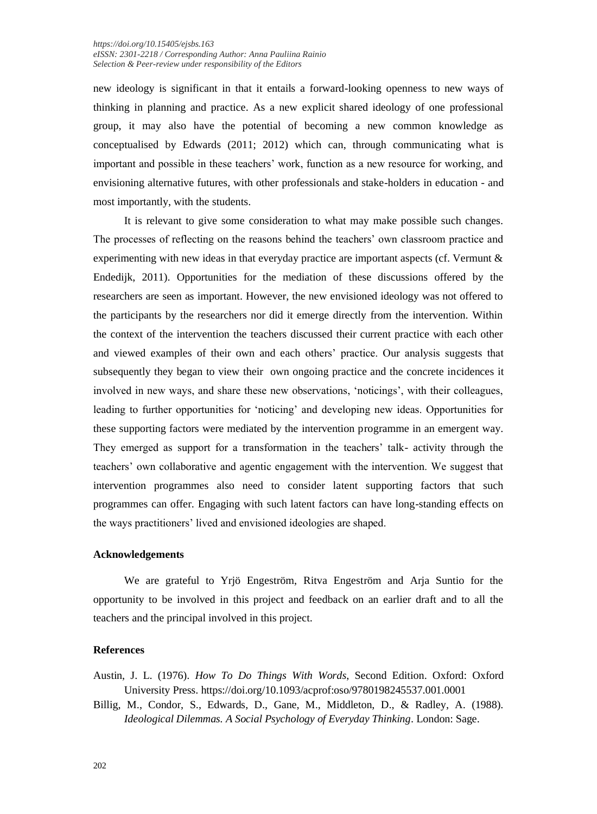new ideology is significant in that it entails a forward-looking openness to new ways of thinking in planning and practice. As a new explicit shared ideology of one professional group, it may also have the potential of becoming a new common knowledge as conceptualised by Edwards (2011; 2012) which can, through communicating what is important and possible in these teachers' work, function as a new resource for working, and envisioning alternative futures, with other professionals and stake-holders in education - and most importantly, with the students.

It is relevant to give some consideration to what may make possible such changes. The processes of reflecting on the reasons behind the teachers' own classroom practice and experimenting with new ideas in that everyday practice are important aspects (cf. Vermunt & Endedijk, 2011). Opportunities for the mediation of these discussions offered by the researchers are seen as important. However, the new envisioned ideology was not offered to the participants by the researchers nor did it emerge directly from the intervention. Within the context of the intervention the teachers discussed their current practice with each other and viewed examples of their own and each others' practice. Our analysis suggests that subsequently they began to view their own ongoing practice and the concrete incidences it involved in new ways, and share these new observations, 'noticings', with their colleagues, leading to further opportunities for 'noticing' and developing new ideas. Opportunities for these supporting factors were mediated by the intervention programme in an emergent way. They emerged as support for a transformation in the teachers' talk- activity through the teachers' own collaborative and agentic engagement with the intervention. We suggest that intervention programmes also need to consider latent supporting factors that such programmes can offer. Engaging with such latent factors can have long-standing effects on the ways practitioners' lived and envisioned ideologies are shaped.

### **Acknowledgements**

We are grateful to Yrjö Engeström, Ritva Engeström and Arja Suntio for the opportunity to be involved in this project and feedback on an earlier draft and to all the teachers and the principal involved in this project.

# **References**

Austin, J. L. (1976). *How To Do Things With Words*, Second Edition. Oxford: Oxford University Press. https://doi.org/10.1093/acprof:oso/9780198245537.001.0001

Billig, M., Condor, S., Edwards, D., Gane, M., Middleton, D., & Radley, A. (1988). *Ideological Dilemmas. A Social Psychology of Everyday Thinking*. London: Sage.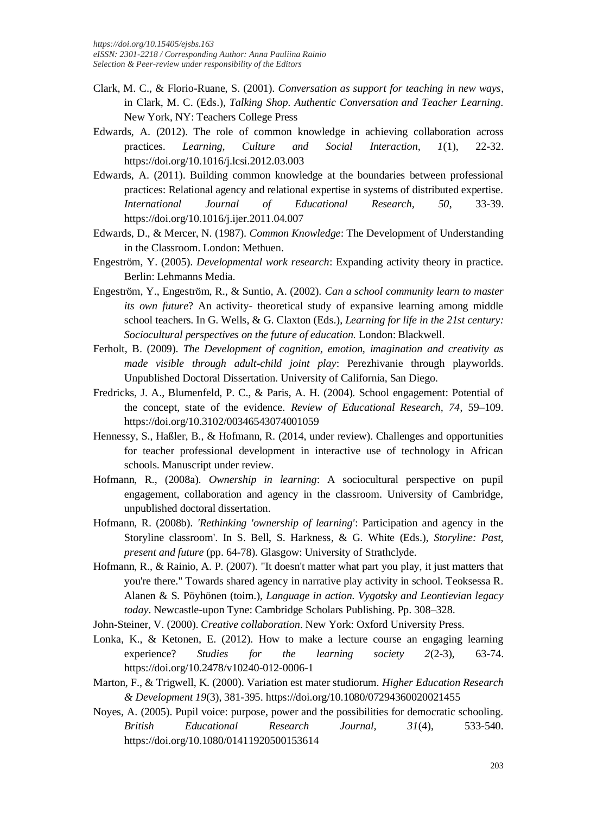- Clark, M. C., & Florio-Ruane, S. (2001). *Conversation as support for teaching in new ways*, in Clark, M. C. (Eds.), *Talking Shop. Authentic Conversation and Teacher Learning.* New York, NY: Teachers College Press
- Edwards, A. (2012). The role of common knowledge in achieving collaboration across practices. *Learning, Culture and Social Interaction, 1*(1), 22-32. https://doi.org/10.1016/j.lcsi.2012.03.003
- Edwards, A. (2011). Building common knowledge at the boundaries between professional practices: Relational agency and relational expertise in systems of distributed expertise. *International Journal of Educational Research, 50*, 33-39. https://doi.org/10.1016/j.ijer.2011.04.007
- Edwards, D., & Mercer, N. (1987). *Common Knowledge*: The Development of Understanding in the Classroom. London: Methuen.
- Engeström, Y. (2005). *Developmental work research*: Expanding activity theory in practice. Berlin: Lehmanns Media.
- Engeström, Y., Engeström, R., & Suntio, A. (2002). *Can a school community learn to master its own future*? An activity- theoretical study of expansive learning among middle school teachers. In G. Wells, & G. Claxton (Eds.), *Learning for life in the 21st century: Sociocultural perspectives on the future of education.* London: Blackwell.
- Ferholt, B. (2009). *The Development of cognition, emotion, imagination and creativity as made visible through adult-child joint play*: Perezhivanie through playworlds. Unpublished Doctoral Dissertation. University of California, San Diego.
- Fredricks, J. A., Blumenfeld, P. C., & Paris, A. H. (2004). School engagement: Potential of the concept, state of the evidence. *Review of Educational Research, 74*, 59–109. https://doi.org/10.3102/00346543074001059
- Hennessy, S., Haßler, B., & Hofmann, R. (2014, under review). Challenges and opportunities for teacher professional development in interactive use of technology in African schools. Manuscript under review.
- Hofmann, R., (2008a). *Ownership in learning*: A sociocultural perspective on pupil engagement, collaboration and agency in the classroom. University of Cambridge, unpublished doctoral dissertation.
- Hofmann, R. (2008b). *'Rethinking 'ownership of learning'*: Participation and agency in the Storyline classroom'. In S. Bell, S. Harkness, & G. White (Eds.), *Storyline: Past, present and future* (pp. 64-78). Glasgow: University of Strathclyde.
- Hofmann, R., & Rainio, A. P. (2007). "It doesn't matter what part you play, it just matters that you're there." Towards shared agency in narrative play activity in school. Teoksessa R. Alanen & S. Pöyhönen (toim.), *Language in action. Vygotsky and Leontievian legacy today*. Newcastle-upon Tyne: Cambridge Scholars Publishing. Pp. 308–328.
- John-Steiner, V. (2000). *Creative collaboration*. New York: Oxford University Press.
- Lonka, K., & Ketonen, E. (2012). How to make a lecture course an engaging learning experience? *Studies for the learning society 2*(2-3), 63-74. https://doi.org/10.2478/v10240-012-0006-1
- Marton, F., & Trigwell, K. (2000). Variation est mater studiorum. *Higher Education Research & Development 19*(3), 381-395. https://doi.org/10.1080/07294360020021455
- Noyes, A. (2005). Pupil voice: purpose, power and the possibilities for democratic schooling. *British Educational Research Journal, 31*(4), 533-540. https://doi.org/10.1080/01411920500153614